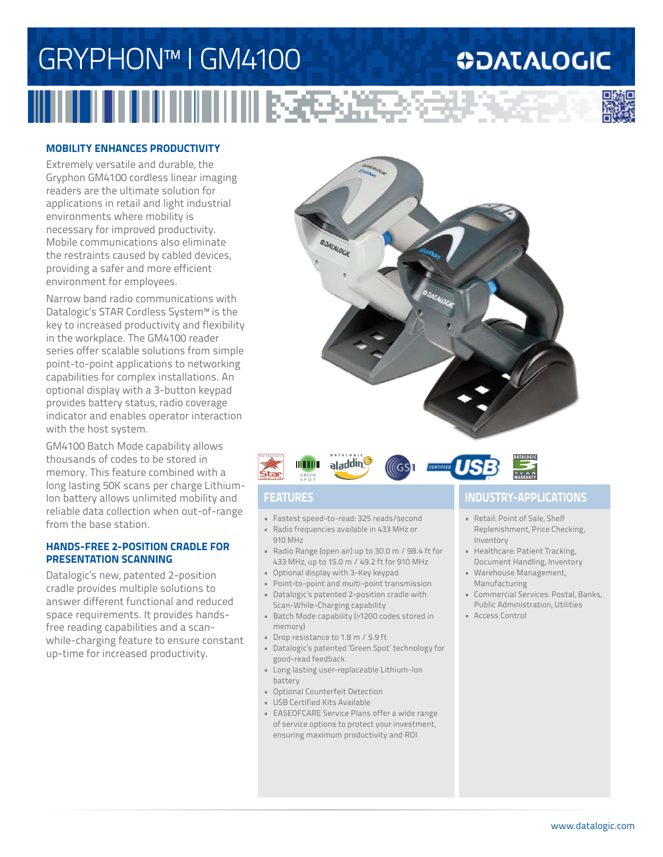### GRYPHON™ I GM4100 **ODATALOGIC**

#### **MOBILITY ENHANCES PRODUCTIVITY**

Extremely versatile and durable, the Gryphon GM4100 cordless linear imaging readers are the ultimate solution for applications in retail and light industrial environments where mobility is necessary for improved productivity. Mobile communications also eliminate the restraints caused by cabled devices, providing a safer and more efficient environment for employees.

Narrow band radio communications with Datalogic's STAR Cordless System™ is the key to increased productivity and flexibility in the workplace. The GM4100 reader series offer scalable solutions from simple point-to-point applications to networking capabilities for complex installations. An optional display with a 3-button keypad provides battery status, radio coverage indicator and enables operator interaction with the host system.

GM4100 Batch Mode capability allows thousands of codes to be stored in memory. This feature combined with a long lasting 50K scans per charge Lithium-Ion battery allows unlimited mobility and reliable data collection when out-of-range from the base station.

#### **HANDS-FREE 2-POSITION CRADLE FOR PRESENTATION SCANNING**

Datalogic's new, patented 2-position cradle provides multiple solutions to answer different functional and reduced space requirements. It provides handsfree reading capabilities and a scanwhile-charging feature to ensure constant up-time for increased productivity.





- Fastest speed-to-read: 325 reads/second
- Radio frequencies available in 433 MHz or 910 MHz
- Radio Range (open air) up to 30.0 m / 98.4 ft for 433 MHz, up to 15.0 m / 49.2 ft for 910 MHz
- Optional display with 3-Key keypad
- Point-to-point and multi-point transmission • Datalogic's patented 2-position cradle with
- Scan-While-Charging capability • Batch Mode capability (>1200 codes stored in
- memory)
- Drop resistance to 1.8 m / 5.9 ft
- Datalogic's patented 'Green Spot' technology for good-read feedback
- Long lasting user-replaceable Lithium-Ion battery
- Optional Counterfeit Detection
- USB Certified Kits Available
- EASEOFCARE Service Plans offer a wide range of service options to protect your investment, ensuring maximum productivity and ROI

### **FEATURES INDUSTRY-APPLICATIONS**

- Retail: Point of Sale, Shelf Replenishment, Price Checking, Inventory
- Healthcare: Patient Tracking, Document Handling, Inventory
- Warehouse Management, Manufacturing
- Commercial Services: Postal, Banks, Public Administration, Utilities
- Access Control